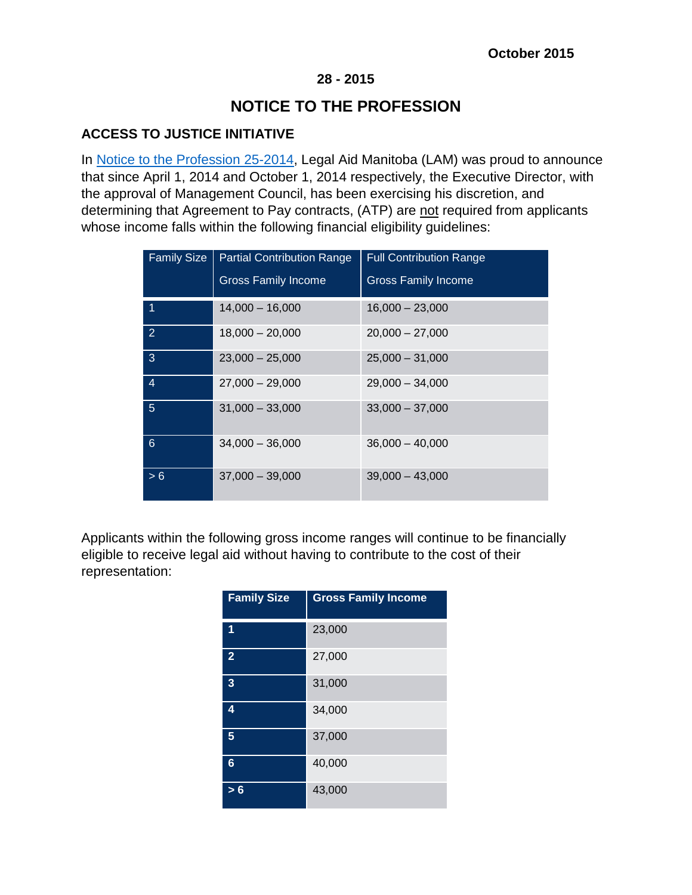## **28 - 2015**

## **NOTICE TO THE PROFESSION**

## **ACCESS TO JUSTICE INITIATIVE**

In [Notice to the Profession 25-2014,](http://www.legalaid.mb.ca/pdf/np_25_2014.pdf) Legal Aid Manitoba (LAM) was proud to announce that since April 1, 2014 and October 1, 2014 respectively, the Executive Director, with the approval of Management Council, has been exercising his discretion, and determining that Agreement to Pay contracts, (ATP) are not required from applicants whose income falls within the following financial eligibility guidelines:

| <b>Family Size</b> | <b>Partial Contribution Range</b><br><b>Gross Family Income</b> | <b>Full Contribution Range</b><br><b>Gross Family Income</b> |
|--------------------|-----------------------------------------------------------------|--------------------------------------------------------------|
| -1                 | $14,000 - 16,000$                                               | $16,000 - 23,000$                                            |
| $\overline{2}$     | $18,000 - 20,000$                                               | $20,000 - 27,000$                                            |
| 3                  | $23,000 - 25,000$                                               | $25,000 - 31,000$                                            |
| $\overline{4}$     | $27.000 - 29.000$                                               | $29.000 - 34.000$                                            |
| $\sqrt{5}$         | $31,000 - 33,000$                                               | $33,000 - 37,000$                                            |
| 6                  | $34,000 - 36,000$                                               | $36,000 - 40,000$                                            |
| > 6                | $37,000 - 39,000$                                               | $39,000 - 43,000$                                            |

Applicants within the following gross income ranges will continue to be financially eligible to receive legal aid without having to contribute to the cost of their representation:

| <b>Family Size</b> | <b>Gross Family Income</b> |
|--------------------|----------------------------|
| 1                  | 23,000                     |
| $\overline{2}$     | 27,000                     |
| 3                  | 31,000                     |
| 4                  | 34,000                     |
| 5                  | 37,000                     |
| 6                  | 40,000                     |
| > 6                | 43,000                     |